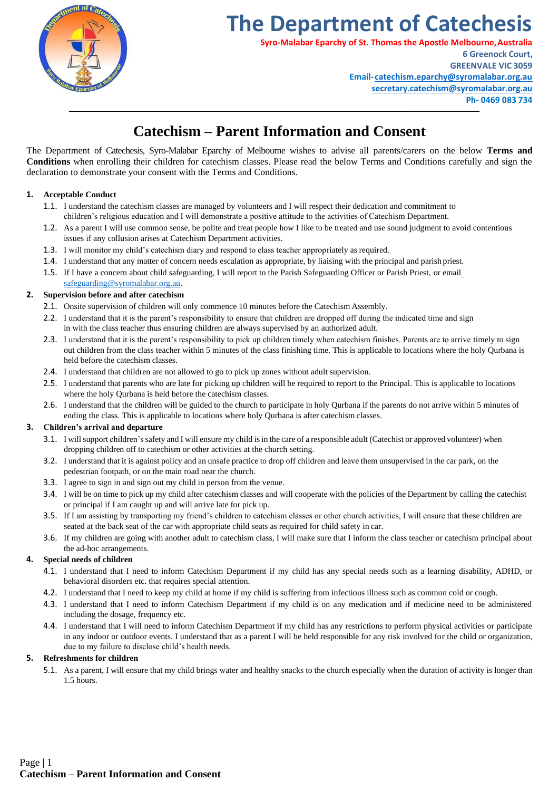

# **The Department of Catechesis**

**Syro-Malabar Eparchy of St. Thomas the Apostle Melbourne,Australia**

**6 Greenock Court, GREENVALE VIC 3059 Email[-catechism.eparchy@syromalabar.org.au](mailto:catechism.eparchy@syromalabar.org.au) [secretary.catechism@syromalabar.org.au](mailto:secretary.catechism@syromalabar.org.au) Ph- 0469 083 734**

# **Catechism – Parent Information and Consent**

The Department of Catechesis, Syro-Malabar Eparchy of Melbourne wishes to advise all parents/carers on the below **Terms and Conditions** when enrolling their children for catechism classes. Please read the below Terms and Conditions carefully and sign the declaration to demonstrate your consent with the Terms and Conditions.

## **1. Acceptable Conduct**

- 1.1. I understand the catechism classes are managed by volunteers and I will respect their dedication and commitment to children's religious education and I will demonstrate a positive attitude to the activities of Catechism Department.
- 1.2. As a parent I will use common sense, be polite and treat people how I like to be treated and use sound judgment to avoid contentious issues if any collusion arises at Catechism Department activities.
- 1.3. I will monitor my child's catechism diary and respond to class teacher appropriately as required.
- 1.4. I understand that any matter of concern needs escalation as appropriate, by liaising with the principal and parish priest.
- 1.5. If I have a concern about child safeguarding, I will report to the Parish Safeguarding Officer or Parish Priest, or emai[l](mailto:safeguarding@syromalabar.org.au) [safeguarding@syromalabar.org.au.](mailto:safeguarding@syromalabar.org.au)

## **2. Supervision before and after catechism**

- 2.1. Onsite supervision of children will only commence 10 minutes before the Catechism Assembly.
- 2.2. I understand that it is the parent's responsibility to ensure that children are dropped off during the indicated time and sign in with the class teacher thus ensuring children are always supervised by an authorized adult.
- 2.3. I understand that it is the parent's responsibility to pick up children timely when catechism finishes. Parents are to arrive timely to sign out children from the class teacher within 5 minutes of the class finishing time. This is applicable to locations where the holy Qurbana is held before the catechism classes.
- 2.4. I understand that children are not allowed to go to pick up zones without adult supervision.
- 2.5. I understand that parents who are late for picking up children will be required to report to the Principal. This is applicable to locations where the holy Qurbana is held before the catechism classes.
- 2.6. I understand that the children will be guided to the church to participate in holy Qurbana if the parents do not arrive within 5 minutes of ending the class. This is applicable to locations where holy Qurbana is after catechism classes.

## **3. Children's arrival and departure**

- 3.1. I willsupport children'ssafety and I will ensure my child isin the care of a responsible adult (Catechist or approved volunteer) when dropping children off to catechism or other activities at the church setting.
- 3.2. I understand that it is against policy and an unsafe practice to drop off children and leave them unsupervised in the car park, on the pedestrian footpath, or on the main road near the church.
- 3.3. I agree to sign in and sign out my child in person from the venue.
- 3.4. I will be on time to pick up my child after catechism classes and will cooperate with the policies of the Department by calling the catechist or principal if I am caught up and will arrive late for pick up.
- 3.5. If I am assisting by transporting my friend's children to catechism classes or other church activities, I will ensure that these children are seated at the back seat of the car with appropriate child seats as required for child safety in car.
- 3.6. If my children are going with another adult to catechism class, I will make sure that I inform the class teacher or catechism principal about the ad-hoc arrangements.

## **4. Special needs of children**

- 4.1. I understand that I need to inform Catechism Department if my child has any special needs such as a learning disability, ADHD, or behavioral disorders etc. that requires special attention.
- 4.2. I understand that I need to keep my child at home if my child is suffering from infectious illness such as common cold or cough.
- 4.3. I understand that I need to inform Catechism Department if my child is on any medication and if medicine need to be administered including the dosage, frequency etc.
- 4.4. I understand that I will need to inform Catechism Department if my child has any restrictions to perform physical activities or participate in any indoor or outdoor events. I understand that as a parent I will be held responsible for any risk involved for the child or organization, due to my failure to disclose child's health needs.

## **5. Refreshments for children**

5.1. As a parent, I will ensure that my child brings water and healthy snacks to the church especially when the duration of activity is longer than 1.5 hours.